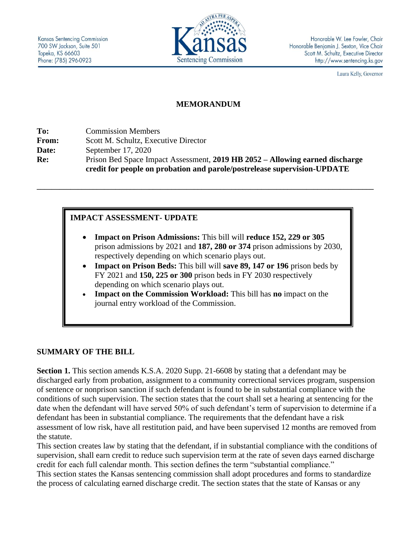

Honorable W. Lee Fowler, Chair Honorable Benjamin J. Sexton, Vice Chair Scott M. Schultz, Executive Director http://www.sentencing.ks.gov

Laura Kelly, Governor

### **MEMORANDUM**

**To:** Commission Members **From:** Scott M. Schultz, Executive Director **Date:** September 17, 2020 **Re:** Prison Bed Space Impact Assessment, **2019 HB 2052 – Allowing earned discharge credit for people on probation and parole/postrelease supervision-UPDATE**

**\_\_\_\_\_\_\_\_\_\_\_\_\_\_\_\_\_\_\_\_\_\_\_\_\_\_\_\_\_\_\_\_\_\_\_\_\_\_\_\_\_\_\_\_\_\_\_\_\_\_\_\_\_\_\_\_\_\_\_\_\_\_\_\_\_\_\_\_\_\_\_\_\_\_\_\_\_\_\_\_\_\_\_\_\_\_\_\_\_\_**

### **IMPACT ASSESSMENT- UPDATE**

- **Impact on Prison Admissions:** This bill will **reduce 152, 229 or 305** prison admissions by 2021 and **187, 280 or 374** prison admissions by 2030, respectively depending on which scenario plays out.
- **Impact on Prison Beds:** This bill will **save 89, 147 or 196** prison beds by FY 2021 and **150, 225 or 300** prison beds in FY 2030 respectively depending on which scenario plays out.
- **Impact on the Commission Workload:** This bill has **no** impact on the journal entry workload of the Commission.

### **SUMMARY OF THE BILL**

**Section 1.** This section amends K.S.A. 2020 Supp. 21-6608 by stating that a defendant may be discharged early from probation, assignment to a community correctional services program, suspension of sentence or nonprison sanction if such defendant is found to be in substantial compliance with the conditions of such supervision. The section states that the court shall set a hearing at sentencing for the date when the defendant will have served 50% of such defendant's term of supervision to determine if a defendant has been in substantial compliance. The requirements that the defendant have a risk assessment of low risk, have all restitution paid, and have been supervised 12 months are removed from the statute.

This section creates law by stating that the defendant, if in substantial compliance with the conditions of supervision, shall earn credit to reduce such supervision term at the rate of seven days earned discharge credit for each full calendar month. This section defines the term "substantial compliance."

This section states the Kansas sentencing commission shall adopt procedures and forms to standardize the process of calculating earned discharge credit. The section states that the state of Kansas or any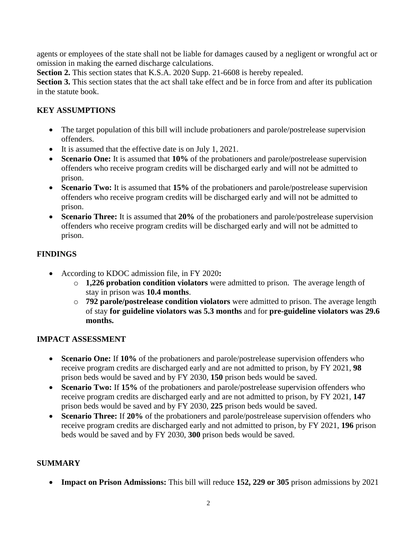agents or employees of the state shall not be liable for damages caused by a negligent or wrongful act or omission in making the earned discharge calculations.

**Section 2.** This section states that K.S.A. 2020 Supp. 21-6608 is hereby repealed.

**Section 3.** This section states that the act shall take effect and be in force from and after its publication in the statute book.

# **KEY ASSUMPTIONS**

- The target population of this bill will include probationers and parole/postrelease supervision offenders.
- It is assumed that the effective date is on July 1, 2021.
- **Scenario One:** It is assumed that **10%** of the probationers and parole/postrelease supervision offenders who receive program credits will be discharged early and will not be admitted to prison.
- **Scenario Two:** It is assumed that 15% of the probationers and parole/postrelease supervision offenders who receive program credits will be discharged early and will not be admitted to prison.
- **Scenario Three:** It is assumed that **20%** of the probationers and parole/postrelease supervision offenders who receive program credits will be discharged early and will not be admitted to prison.

## **FINDINGS**

- According to KDOC admission file, in FY 2020**:**
	- o **1,226 probation condition violators** were admitted to prison. The average length of stay in prison was **10.4 months**.
	- o **792 parole/postrelease condition violators** were admitted to prison. The average length of stay **for guideline violators was 5.3 months** and for **pre-guideline violators was 29.6 months.**

## **IMPACT ASSESSMENT**

- **Scenario One:** If **10%** of the probationers and parole/postrelease supervision offenders who receive program credits are discharged early and are not admitted to prison, by FY 2021, **98** prison beds would be saved and by FY 2030, **150** prison beds would be saved.
- **Scenario Two:** If 15% of the probationers and parole/postrelease supervision offenders who receive program credits are discharged early and are not admitted to prison, by FY 2021, **147** prison beds would be saved and by FY 2030, **225** prison beds would be saved.
- **Scenario Three:** If **20%** of the probationers and parole/postrelease supervision offenders who receive program credits are discharged early and not admitted to prison, by FY 2021, **196** prison beds would be saved and by FY 2030, **300** prison beds would be saved.

## **SUMMARY**

• **Impact on Prison Admissions:** This bill will reduce **152, 229 or 305** prison admissions by 2021